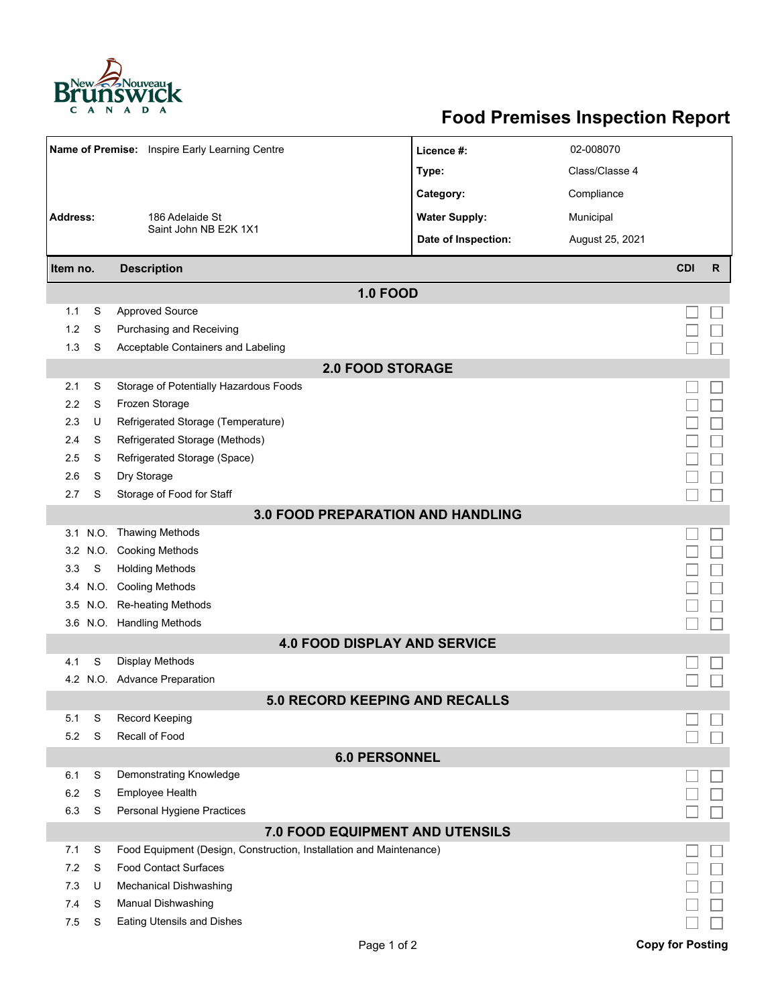

## **Food Premises Inspection Report**

| Name of Premise: Inspire Early Learning Centre |      |                                                                     | Licence #:           | 02-008070       |                         |              |  |  |  |  |  |  |
|------------------------------------------------|------|---------------------------------------------------------------------|----------------------|-----------------|-------------------------|--------------|--|--|--|--|--|--|
|                                                |      |                                                                     | Type:                | Class/Classe 4  |                         |              |  |  |  |  |  |  |
|                                                |      |                                                                     | Category:            | Compliance      |                         |              |  |  |  |  |  |  |
| <b>Address:</b><br>186 Adelaide St             |      |                                                                     | <b>Water Supply:</b> | Municipal       |                         |              |  |  |  |  |  |  |
|                                                |      | Saint John NB E2K 1X1                                               |                      |                 |                         |              |  |  |  |  |  |  |
|                                                |      |                                                                     | Date of Inspection:  | August 25, 2021 |                         |              |  |  |  |  |  |  |
| Item no.                                       |      | <b>Description</b>                                                  |                      |                 | <b>CDI</b>              | $\mathsf{R}$ |  |  |  |  |  |  |
| <b>1.0 FOOD</b>                                |      |                                                                     |                      |                 |                         |              |  |  |  |  |  |  |
| 1.1                                            | S    | <b>Approved Source</b>                                              |                      |                 |                         |              |  |  |  |  |  |  |
| 1.2                                            | S    | Purchasing and Receiving                                            |                      |                 |                         |              |  |  |  |  |  |  |
| 1.3                                            | S    | Acceptable Containers and Labeling                                  |                      |                 |                         |              |  |  |  |  |  |  |
| <b>2.0 FOOD STORAGE</b>                        |      |                                                                     |                      |                 |                         |              |  |  |  |  |  |  |
| 2.1                                            | S    | Storage of Potentially Hazardous Foods                              |                      |                 |                         |              |  |  |  |  |  |  |
| 2.2                                            | S    | Frozen Storage                                                      |                      |                 |                         |              |  |  |  |  |  |  |
| 2.3                                            | U    | Refrigerated Storage (Temperature)                                  |                      |                 |                         |              |  |  |  |  |  |  |
| 2.4                                            | S    | Refrigerated Storage (Methods)                                      |                      |                 |                         |              |  |  |  |  |  |  |
| 2.5                                            | S    | Refrigerated Storage (Space)                                        |                      |                 |                         |              |  |  |  |  |  |  |
| 2.6                                            | S    | Dry Storage                                                         |                      |                 |                         |              |  |  |  |  |  |  |
| 2.7                                            | S    | Storage of Food for Staff                                           |                      |                 |                         |              |  |  |  |  |  |  |
| <b>3.0 FOOD PREPARATION AND HANDLING</b>       |      |                                                                     |                      |                 |                         |              |  |  |  |  |  |  |
|                                                |      | 3.1 N.O. Thawing Methods                                            |                      |                 |                         |              |  |  |  |  |  |  |
| 3.2                                            | N.O. | <b>Cooking Methods</b>                                              |                      |                 |                         |              |  |  |  |  |  |  |
| 3.3                                            | S    | <b>Holding Methods</b>                                              |                      |                 |                         |              |  |  |  |  |  |  |
| 3.4                                            |      | N.O. Cooling Methods                                                |                      |                 |                         |              |  |  |  |  |  |  |
| 3.5                                            |      | N.O. Re-heating Methods                                             |                      |                 |                         |              |  |  |  |  |  |  |
|                                                |      | 3.6 N.O. Handling Methods                                           |                      |                 |                         |              |  |  |  |  |  |  |
|                                                |      | <b>4.0 FOOD DISPLAY AND SERVICE</b>                                 |                      |                 |                         |              |  |  |  |  |  |  |
| 4.1                                            | S    | <b>Display Methods</b>                                              |                      |                 |                         |              |  |  |  |  |  |  |
|                                                |      | 4.2 N.O. Advance Preparation                                        |                      |                 |                         |              |  |  |  |  |  |  |
|                                                |      | 5.0 RECORD KEEPING AND RECALLS                                      |                      |                 |                         |              |  |  |  |  |  |  |
| 5.1                                            | S    | Record Keeping                                                      |                      |                 |                         |              |  |  |  |  |  |  |
| 5.2                                            | S    | Recall of Food                                                      |                      |                 |                         |              |  |  |  |  |  |  |
|                                                |      | <b>6.0 PERSONNEL</b>                                                |                      |                 |                         |              |  |  |  |  |  |  |
| 6.1                                            | S    | Demonstrating Knowledge                                             |                      |                 |                         |              |  |  |  |  |  |  |
| 6.2                                            | S    | <b>Employee Health</b>                                              |                      |                 |                         |              |  |  |  |  |  |  |
| 6.3                                            | S    | Personal Hygiene Practices                                          |                      |                 |                         |              |  |  |  |  |  |  |
|                                                |      | 7.0 FOOD EQUIPMENT AND UTENSILS                                     |                      |                 |                         |              |  |  |  |  |  |  |
| 7.1                                            | S    | Food Equipment (Design, Construction, Installation and Maintenance) |                      |                 |                         |              |  |  |  |  |  |  |
| 7.2                                            | S    | <b>Food Contact Surfaces</b>                                        |                      |                 |                         |              |  |  |  |  |  |  |
| 7.3                                            | U    | <b>Mechanical Dishwashing</b>                                       |                      |                 |                         |              |  |  |  |  |  |  |
| 7.4                                            | S    | Manual Dishwashing                                                  |                      |                 |                         |              |  |  |  |  |  |  |
| 7.5                                            | S    | <b>Eating Utensils and Dishes</b>                                   |                      |                 |                         |              |  |  |  |  |  |  |
|                                                |      | Page 1 of 2                                                         |                      |                 | <b>Copy for Posting</b> |              |  |  |  |  |  |  |